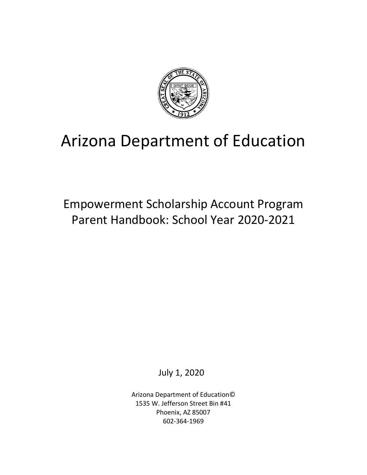

# Arizona Department of Education

Empowerment Scholarship Account Program Parent Handbook: School Year 2020-2021

July 1, 2020

Arizona Department of Education© 1535 W. Jefferson Street Bin #41 Phoenix, AZ 85007 602-364-1969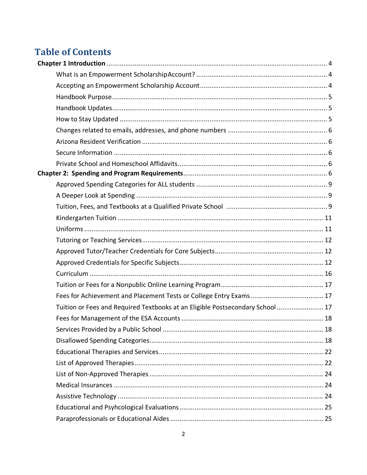# **Table of Contents**

| Tuition or Fees and Required Textbooks at an Eligible Postsecondary School  17 |  |
|--------------------------------------------------------------------------------|--|
|                                                                                |  |
|                                                                                |  |
|                                                                                |  |
|                                                                                |  |
|                                                                                |  |
|                                                                                |  |
|                                                                                |  |
|                                                                                |  |
|                                                                                |  |
|                                                                                |  |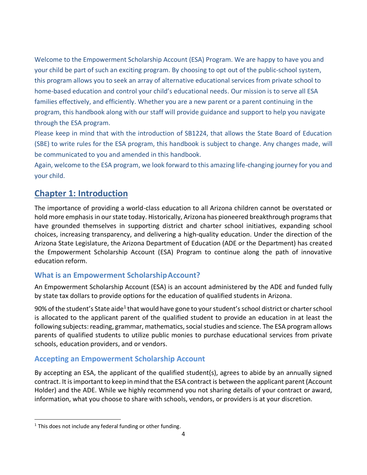<span id="page-3-0"></span>Welcome to the Empowerment Scholarship Account (ESA) Program. We are happy to have you and your child be part of such an exciting program. By choosing to opt out of the public-school system, this program allows you to seek an array of alternative educational services from private school to home-based education and control your child's educational needs. Our mission is to serve all ESA families effectively, and efficiently. Whether you are a new parent or a parent continuing in the program, this handbook along with our staff will provide guidance and support to help you navigate through the ESA program.

Please keep in mind that with the introduction of SB1224, that allows the State Board of Education (SBE) to write rules for the ESA program, this handbook is subject to change. Any changes made, will be communicated to you and amended in this handbook.

Again, welcome to the ESA program, we look forward to this amazing life-changing journey for you and your child.

# **Chapter 1: Introduction**

The importance of providing a world-class education to all Arizona children cannot be overstated or hold more emphasis in our state today. Historically, Arizona has pioneered breakthrough programs that have grounded themselves in supporting district and charter school initiatives, expanding school choices, increasing transparency, and delivering a high-quality education. Under the direction of the Arizona State Legislature, the Arizona Department of Education (ADE or the Department) has created the Empowerment Scholarship Account (ESA) Program to continue along the path of innovative education reform.

### <span id="page-3-1"></span>**What is an Empowerment ScholarshipAccount?**

An Empowerment Scholarship Account (ESA) is an account administered by the ADE and funded fully by state tax dollars to provide options for the education of qualified students in Arizona.

90% of the student's State aide<sup>1</sup> that would have gone to your student's school district or charter school is allocated to the applicant parent of the qualified student to provide an education in at least the following subjects: reading, grammar, mathematics, social studies and science. The ESA program allows parents of qualified students to utilize public monies to purchase educational services from private schools, education providers, and or vendors.

### <span id="page-3-2"></span>**Accepting an Empowerment Scholarship Account**

By accepting an ESA, the applicant of the qualified student(s), agrees to abide by an annually signed contract. It is important to keep in mind that the ESA contract is between the applicant parent (Account Holder) and the ADE. While we highly recommend you not sharing details of your contract or award, information, what you choose to share with schools, vendors, or providers is at your discretion.

 $1$  This does not include any federal funding or other funding.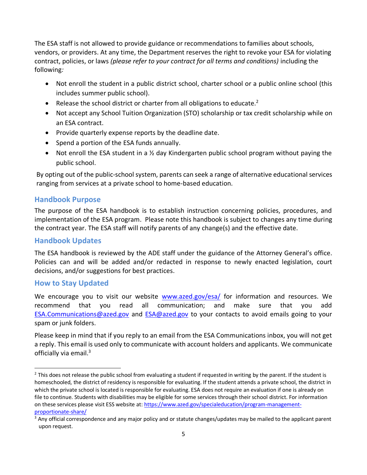The ESA staff is not allowed to provide guidance or recommendations to families about schools, vendors, or providers. At any time, the Department reserves the right to revoke your ESA for violating contract, policies, or laws *(please refer to your contract for all terms and conditions)* including the following*:*

- Not enroll the student in a public district school, charter school or a public online school (this includes summer public school).
- Release the school district or charter from all obligations to educate.<sup>2</sup>
- Not accept any School Tuition Organization (STO) scholarship or tax credit scholarship while on an ESA contract.
- Provide quarterly expense reports by the deadline date.
- Spend a portion of the ESA funds annually.
- Not enroll the ESA student in a % day Kindergarten public school program without paying the public school.

By opting out of the public-school system, parents can seek a range of alternative educational services ranging from services at a private school to home-based education.

### <span id="page-4-0"></span>**Handbook Purpose**

The purpose of the ESA handbook is to establish instruction concerning policies, procedures, and implementation of the ESA program. Please note this handbook is subject to changes any time during the contract year. The ESA staff will notify parents of any change(s) and the effective date.

### <span id="page-4-1"></span>**Handbook Updates**

The ESA handbook is reviewed by the ADE staff under the guidance of the Attorney General's office. Policies can and will be added and/or redacted in response to newly enacted legislation, court decisions, and/or suggestions for best practices.

### <span id="page-4-2"></span>**How to Stay Updated**

We encourage you to visit our website [www.azed.gov/esa/](http://www.azed.gov/esa) for information and resources. We recommend that you read all communication; and make sure that you add [ESA.Communications@azed.gov](mailto:ESA.Communications@azed.gov) and [ESA@azed.gov](mailto:ESA@azed.gov) to your contacts to avoid emails going to your spam or junk folders.

Please keep in mind that if you reply to an email from the ESA Communications inbox, you will not get a reply. This email is used only to communicate with account holders and applicants. We communicate officially via email.<sup>3</sup>

 $<sup>2</sup>$  This does not release the public school from evaluating a student if requested in writing by the parent. If the student is</sup> homeschooled, the district of residency is responsible for evaluating. If the student attends a private school, the district in which the private school is located is responsible for evaluating. ESA does not require an evaluation if one is already on file to continue. Students with disabilities may be eligible for some services through their school district. For information on these services please visit ESS website at[: https://www.azed.gov/specialeducation/program-management](https://www.azed.gov/specialeducation/program-management-proportionate-share/)[proportionate-share/](https://www.azed.gov/specialeducation/program-management-proportionate-share/)

 $3$  Any official correspondence and any major policy and or statute changes/updates may be mailed to the applicant parent upon request.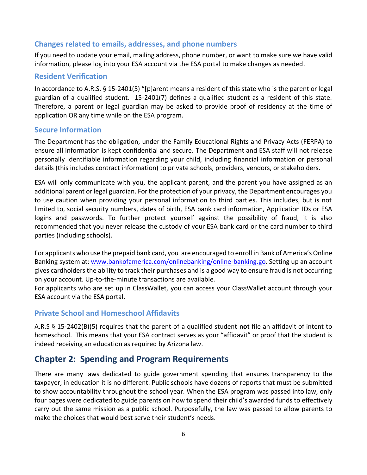### <span id="page-5-0"></span>**Changes related to emails, addresses, and phone numbers**

If you need to update your email, mailing address, phone number, or want to make sure we have valid information, please log into your ESA account via the ESA portal to make changes as needed.

#### <span id="page-5-1"></span>**Resident Verification**

In accordance to A.R.S. § 15-2401(5) "[p]arent means a resident of this state who is the parent or legal guardian of a qualified student. 15-2401(7) defines a qualified student as a resident of this state. Therefore, a parent or legal guardian may be asked to provide proof of residency at the time of application OR any time while on the ESA program.

### <span id="page-5-2"></span>**Secure Information**

The Department has the obligation, under the Family Educational Rights and Privacy Acts (FERPA) to ensure all information is kept confidential and secure. The Department and ESA staff will not release personally identifiable information regarding your child, including financial information or personal details (this includes contract information) to private schools, providers, vendors, or stakeholders.

ESA will only communicate with you, the applicant parent, and the parent you have assigned as an additional parent or legal guardian. For the protection of your privacy, the Department encourages you to use caution when providing your personal information to third parties. This includes, but is not limited to, social security numbers, dates of birth, ESA bank card information, Application IDs or ESA logins and passwords. To further protect yourself against the possibility of fraud, it is also recommended that you never release the custody of your ESA bank card or the card number to third parties (including schools).

For applicants who use the prepaid bank card, you are encouraged to enroll in Bank of America's Online Banking system at[: www.bankofamerica.com/onlinebanking/online-banking.go.](http://www.bankofamerica.com/onlinebanking/online-banking.go) Setting up an account gives cardholders the ability to track their purchases and is a good way to ensure fraud is not occurring on your account. Up-to-the-minute transactions are available.

For applicants who are set up in ClassWallet, you can access your ClassWallet account through your ESA account via the ESA portal.

### <span id="page-5-3"></span>**Private School and Homeschool Affidavits**

A.R.S § 15-2402(B)(5) requires that the parent of a qualified student **not** file an affidavit of intent to homeschool. This means that your ESA contract serves as your "affidavit" or proof that the student is indeed receiving an education as required by Arizona law.

# <span id="page-5-4"></span>**Chapter 2: Spending and Program Requirements**

There are many laws dedicated to guide government spending that ensures transparency to the taxpayer; in education it is no different. Public schools have dozens of reports that must be submitted to show accountability throughout the school year. When the ESA program was passed into law, only four pages were dedicated to guide parents on how to spend their child's awarded funds to effectively carry out the same mission as a public school. Purposefully, the law was passed to allow parents to make the choices that would best serve their student's needs.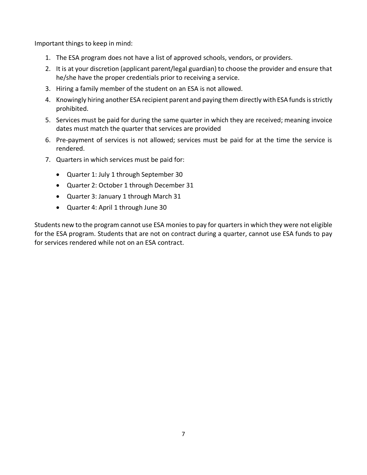Important things to keep in mind:

- 1. The ESA program does not have a list of approved schools, vendors, or providers.
- 2. It is at your discretion (applicant parent/legal guardian) to choose the provider and ensure that he/she have the proper credentials prior to receiving a service.
- 3. Hiring a family member of the student on an ESA is not allowed.
- 4. Knowingly hiring another ESA recipient parent and paying them directly with ESA fundsis strictly prohibited.
- 5. Services must be paid for during the same quarter in which they are received; meaning invoice dates must match the quarter that services are provided
- 6. Pre-payment of services is not allowed; services must be paid for at the time the service is rendered.
- 7. Quarters in which services must be paid for:
	- Quarter 1: July 1 through September 30
	- Quarter 2: October 1 through December 31
	- Quarter 3: January 1 through March 31
	- Quarter 4: April 1 through June 30

Students new to the program cannot use ESA monies to pay for quarters in which they were not eligible for the ESA program. Students that are not on contract during a quarter, cannot use ESA funds to pay for services rendered while not on an ESA contract.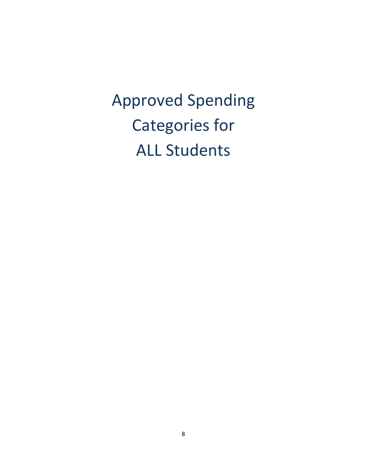<span id="page-7-0"></span>Approved Spending Categories for ALL Students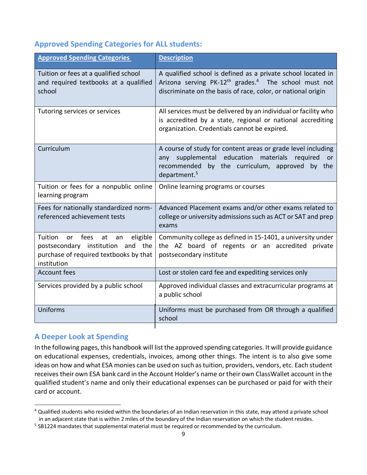### **Approved Spending Categories for ALL students:**

| <b>Approved Spending Categories</b>                                                                                                                   | <b>Description</b>                                                                                                                                                                                               |
|-------------------------------------------------------------------------------------------------------------------------------------------------------|------------------------------------------------------------------------------------------------------------------------------------------------------------------------------------------------------------------|
| Tuition or fees at a qualified school<br>and required textbooks at a qualified<br>school                                                              | A qualified school is defined as a private school located in<br>Arizona serving PK-12 <sup>th</sup> grades. <sup>4</sup> The school must not<br>discriminate on the basis of race, color, or national origin     |
| Tutoring services or services                                                                                                                         | All services must be delivered by an individual or facility who<br>is accredited by a state, regional or national accrediting<br>organization. Credentials cannot be expired.                                    |
| Curriculum                                                                                                                                            | A course of study for content areas or grade level including<br>supplemental education<br>materials<br>required<br>any<br>or<br>by the curriculum, approved<br>recommended<br>by the<br>department. <sup>5</sup> |
| Tuition or fees for a nonpublic online<br>learning program                                                                                            | Online learning programs or courses                                                                                                                                                                              |
| Fees for nationally standardized norm-<br>referenced achievement tests                                                                                | Advanced Placement exams and/or other exams related to<br>college or university admissions such as ACT or SAT and prep<br>exams                                                                                  |
| eligible<br>Tuition<br>fees<br>at<br><b>or</b><br>an<br>postsecondary institution<br>and the<br>purchase of required textbooks by that<br>institution | Community college as defined in 15-1401, a university under<br>the AZ board of regents or an accredited<br>private<br>postsecondary institute                                                                    |
| <b>Account fees</b>                                                                                                                                   | Lost or stolen card fee and expediting services only                                                                                                                                                             |
| Services provided by a public school                                                                                                                  | Approved individual classes and extracurricular programs at<br>a public school                                                                                                                                   |
| Uniforms                                                                                                                                              | Uniforms must be purchased from OR through a qualified<br>school                                                                                                                                                 |

### <span id="page-8-0"></span>**A Deeper Look at Spending**

In the following pages, this handbook will list the approved spending categories. It will provide guidance on educational expenses, credentials, invoices, among other things. The intent is to also give some ideas on how and what ESA monies can be used on such as tuition, providers, vendors, etc. Each student receives their own ESA bank card in the Account Holder's name or their own ClassWallet account in the qualified student's name and only their educational expenses can be purchased or paid for with their card or account.

<sup>&</sup>lt;sup>4</sup> Qualified students who resided within the boundaries of an Indian reservation in this state, may attend a private school in an adjacent state that is within 2 miles of the boundary of the Indian reservation on which the student resides.

<sup>&</sup>lt;sup>5</sup> SB1224 mandates that supplemental material must be required or recommended by the curriculum.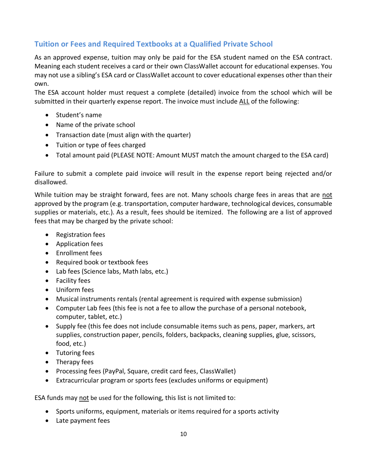### **Tuition or Fees and Required Textbooks at a Qualified Private School**

As an approved expense, tuition may only be paid for the ESA student named on the ESA contract. Meaning each student receives a card or their own ClassWallet account for educational expenses. You may not use a sibling's ESA card or ClassWallet account to cover educational expenses other than their own.

The ESA account holder must request a complete (detailed) invoice from the school which will be submitted in their quarterly expense report. The invoice must include ALL of the following:

- Student's name
- Name of the private school
- Transaction date (must align with the quarter)
- Tuition or type of fees charged
- Total amount paid (PLEASE NOTE: Amount MUST match the amount charged to the ESA card)

Failure to submit a complete paid invoice will result in the expense report being rejected and/or disallowed.

While tuition may be straight forward, fees are not. Many schools charge fees in areas that are not approved by the program (e.g. transportation, computer hardware, technological devices, consumable supplies or materials, etc.). As a result, fees should be itemized. The following are a list of approved fees that may be charged by the private school:

- Registration fees
- Application fees
- Enrollment fees
- Required book or textbook fees
- Lab fees (Science labs, Math labs, etc.)
- Facility fees
- Uniform fees
- Musical instruments rentals (rental agreement is required with expense submission)
- Computer Lab fees (this fee is not a fee to allow the purchase of a personal notebook, computer, tablet, etc.)
- Supply fee (this fee does not include consumable items such as pens, paper, markers, art supplies, construction paper, pencils, folders, backpacks, cleaning supplies, glue, scissors, food, etc.)
- Tutoring fees
- Therapy fees
- Processing fees (PayPal, Square, credit card fees, ClassWallet)
- Extracurricular program or sports fees (excludes uniforms or equipment)

ESA funds may not be used for the following, this list is not limited to:

- Sports uniforms, equipment, materials or items required for a sports activity
- Late payment fees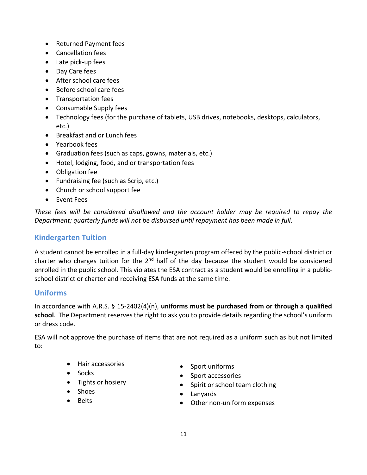- Returned Payment fees
- Cancellation fees
- Late pick-up fees
- Day Care fees
- After school care fees
- Before school care fees
- Transportation fees
- Consumable Supply fees
- Technology fees (for the purchase of tablets, USB drives, notebooks, desktops, calculators, etc.)
- Breakfast and or Lunch fees
- Yearbook fees
- Graduation fees (such as caps, gowns, materials, etc.)
- Hotel, lodging, food, and or transportation fees
- Obligation fee
- Fundraising fee (such as Scrip, etc.)
- Church or school support fee
- Event Fees

*These fees will be considered disallowed and the account holder may be required to repay the Department; quarterly funds will not be disbursed until repayment has been made in full.*

### <span id="page-10-0"></span>**Kindergarten Tuition**

A student cannot be enrolled in a full-day kindergarten program offered by the public-school district or charter who charges tuition for the  $2<sup>nd</sup>$  half of the day because the student would be considered enrolled in the public school. This violates the ESA contract as a student would be enrolling in a publicschool district or charter and receiving ESA funds at the same time.

### **Uniforms**

In accordance with A.R.S. § 15-2402(4)(n), **uniforms must be purchased from or through a qualified school**. The Department reserves the right to ask you to provide details regarding the school's uniform or dress code.

ESA will not approve the purchase of items that are not required as a uniform such as but not limited to:

- Hair accessories
- Socks
- Tights or hosiery
- Shoes
- <span id="page-10-1"></span>• Belts
- Sport uniforms
- Sport accessories
- Spirit or school team clothing
- Lanyards
- Other non-uniform expenses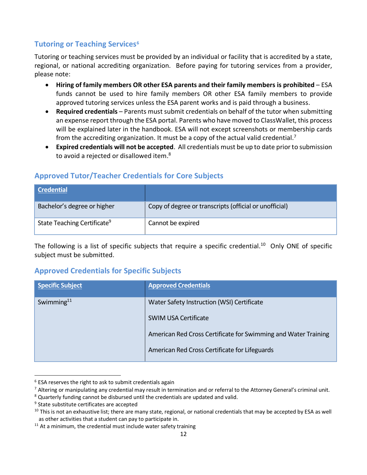### **Tutoring or Teaching Services<sup>6</sup>**

Tutoring or teaching services must be provided by an individual or facility that is accredited by a state, regional, or national accrediting organization. Before paying for tutoring services from a provider, please note:

- **Hiring of family members OR other ESA parents and their family members is prohibited**  ESA funds cannot be used to hire family members OR other ESA family members to provide approved tutoring services unless the ESA parent works and is paid through a business.
- **Required credentials** Parents must submit credentials on behalf of the tutor when submitting an expense report through the ESA portal. Parents who have moved to ClassWallet, this process will be explained later in the handbook. ESA will not except screenshots or membership cards from the accrediting organization. It must be a copy of the actual valid credential.<sup>7</sup>
- **Expired credentials will not be accepted**. All credentials must be up to date prior to submission to avoid a rejected or disallowed item.<sup>8</sup>

### <span id="page-11-0"></span>**Approved Tutor/Teacher Credentials for Core Subjects**

| <b>Credential</b>                       |                                                        |
|-----------------------------------------|--------------------------------------------------------|
| Bachelor's degree or higher             | Copy of degree or transcripts (official or unofficial) |
| State Teaching Certificate <sup>9</sup> | Cannot be expired                                      |

The following is a list of specific subjects that require a specific credential.<sup>10</sup> Only ONE of specific subject must be submitted.

### <span id="page-11-1"></span>**Approved Credentials for Specific Subjects**

| <b>Specific Subject</b> | <b>Approved Credentials</b>                                    |  |
|-------------------------|----------------------------------------------------------------|--|
| Swimming $11$           | Water Safety Instruction (WSI) Certificate                     |  |
|                         | <b>SWIM USA Certificate</b>                                    |  |
|                         | American Red Cross Certificate for Swimming and Water Training |  |
|                         | American Red Cross Certificate for Lifeguards                  |  |

 $6$  ESA reserves the right to ask to submit credentials again

<sup>&</sup>lt;sup>7</sup> Altering or manipulating any credential may result in termination and or referral to the Attorney General's criminal unit.

<sup>&</sup>lt;sup>8</sup> Quarterly funding cannot be disbursed until the credentials are updated and valid.

<sup>&</sup>lt;sup>9</sup> State substitute certificates are accepted

 $10$  This is not an exhaustive list; there are many state, regional, or national credentials that may be accepted by ESA as well as other activities that a student can pay to participate in.

 $11$  At a minimum, the credential must include water safety training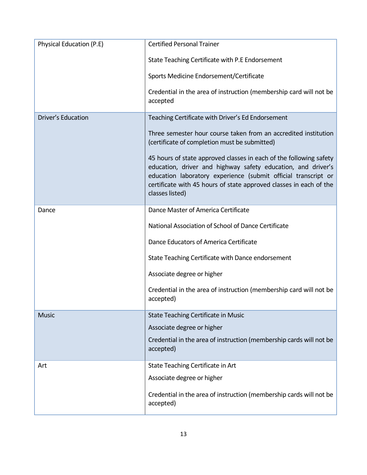| Physical Education (P.E) | <b>Certified Personal Trainer</b>                                                                                                                                                                                                                                                             |  |
|--------------------------|-----------------------------------------------------------------------------------------------------------------------------------------------------------------------------------------------------------------------------------------------------------------------------------------------|--|
|                          | State Teaching Certificate with P.E Endorsement                                                                                                                                                                                                                                               |  |
|                          | Sports Medicine Endorsement/Certificate                                                                                                                                                                                                                                                       |  |
|                          | Credential in the area of instruction (membership card will not be<br>accepted                                                                                                                                                                                                                |  |
| Driver's Education       | Teaching Certificate with Driver's Ed Endorsement                                                                                                                                                                                                                                             |  |
|                          | Three semester hour course taken from an accredited institution<br>(certificate of completion must be submitted)                                                                                                                                                                              |  |
|                          | 45 hours of state approved classes in each of the following safety<br>education, driver and highway safety education, and driver's<br>education laboratory experience (submit official transcript or<br>certificate with 45 hours of state approved classes in each of the<br>classes listed) |  |
| Dance                    | Dance Master of America Certificate                                                                                                                                                                                                                                                           |  |
|                          | National Association of School of Dance Certificate                                                                                                                                                                                                                                           |  |
|                          | Dance Educators of America Certificate<br>State Teaching Certificate with Dance endorsement                                                                                                                                                                                                   |  |
|                          |                                                                                                                                                                                                                                                                                               |  |
|                          | Associate degree or higher                                                                                                                                                                                                                                                                    |  |
|                          | Credential in the area of instruction (membership card will not be<br>accepted)                                                                                                                                                                                                               |  |
| <b>Music</b>             | State Teaching Certificate in Music                                                                                                                                                                                                                                                           |  |
|                          | Associate degree or higher                                                                                                                                                                                                                                                                    |  |
|                          | Credential in the area of instruction (membership cards will not be<br>accepted)                                                                                                                                                                                                              |  |
| Art                      | State Teaching Certificate in Art                                                                                                                                                                                                                                                             |  |
|                          | Associate degree or higher                                                                                                                                                                                                                                                                    |  |
|                          | Credential in the area of instruction (membership cards will not be<br>accepted)                                                                                                                                                                                                              |  |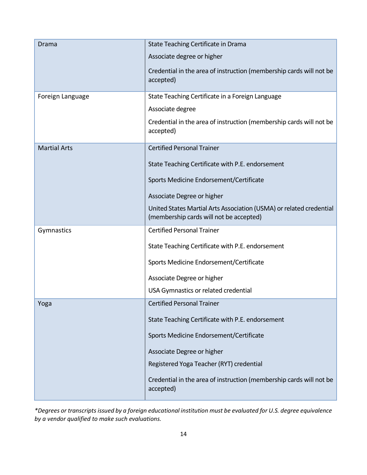| Drama<br>Foreign Language | State Teaching Certificate in Drama<br>Associate degree or higher<br>Credential in the area of instruction (membership cards will not be<br>accepted)<br>State Teaching Certificate in a Foreign Language<br>Associate degree<br>Credential in the area of instruction (membership cards will not be<br>accepted) |  |
|---------------------------|-------------------------------------------------------------------------------------------------------------------------------------------------------------------------------------------------------------------------------------------------------------------------------------------------------------------|--|
| <b>Martial Arts</b>       | <b>Certified Personal Trainer</b><br>State Teaching Certificate with P.E. endorsement<br>Sports Medicine Endorsement/Certificate<br>Associate Degree or higher<br>United States Martial Arts Association (USMA) or related credential<br>(membership cards will not be accepted)                                  |  |
| Gymnastics                | <b>Certified Personal Trainer</b><br>State Teaching Certificate with P.E. endorsement<br>Sports Medicine Endorsement/Certificate<br>Associate Degree or higher<br>USA Gymnastics or related credential                                                                                                            |  |
| Yoga                      | <b>Certified Personal Trainer</b><br>State Teaching Certificate with P.E. endorsement<br>Sports Medicine Endorsement/Certificate<br>Associate Degree or higher<br>Registered Yoga Teacher (RYT) credential<br>Credential in the area of instruction (membership cards will not be<br>accepted)                    |  |

*\*Degrees or transcripts issued by a foreign educational institution must be evaluated for U.S. degree equivalence by a vendor qualified to make such evaluations.*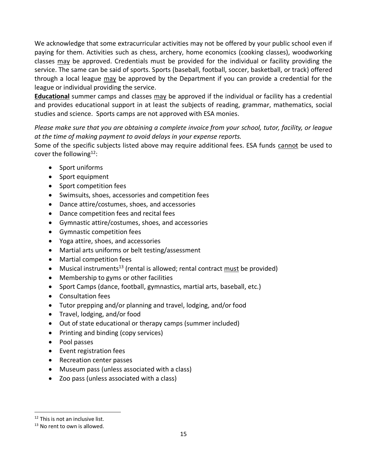We acknowledge that some extracurricular activities may not be offered by your public school even if paying for them. Activities such as chess, archery, home economics (cooking classes), woodworking classes may be approved. Credentials must be provided for the individual or facility providing the service. The same can be said of sports. Sports (baseball, football, soccer, basketball, or track) offered through a local league may be approved by the Department if you can provide a credential for the league or individual providing the service.

**Educational** summer camps and classes may be approved if the individual or facility has a credential and provides educational support in at least the subjects of reading, grammar, mathematics, social studies and science. Sports camps are not approved with ESA monies.

*Please make sure that you are obtaining a complete invoice from your school, tutor, facility, or league at the time of making payment to avoid delays in your expense reports.*

Some of the specific subjects listed above may require additional fees. ESA funds cannot be used to cover the following<sup>12</sup>:

- Sport uniforms
- Sport equipment
- Sport competition fees
- Swimsuits, shoes, accessories and competition fees
- Dance attire/costumes, shoes, and accessories
- Dance competition fees and recital fees
- Gymnastic attire/costumes, shoes, and accessories
- Gymnastic competition fees
- Yoga attire, shoes, and accessories
- Martial arts uniforms or belt testing/assessment
- Martial competition fees
- Musical instruments<sup>13</sup> (rental is allowed; rental contract must be provided)
- Membership to gyms or other facilities
- Sport Camps (dance, football, gymnastics, martial arts, baseball, etc.)
- Consultation fees
- Tutor prepping and/or planning and travel, lodging, and/or food
- Travel, lodging, and/or food
- Out of state educational or therapy camps (summer included)
- Printing and binding (copy services)
- Pool passes
- Event registration fees
- Recreation center passes
- Museum pass (unless associated with a class)
- Zoo pass (unless associated with a class)

<sup>&</sup>lt;sup>12</sup> This is not an inclusive list.

 $13$  No rent to own is allowed.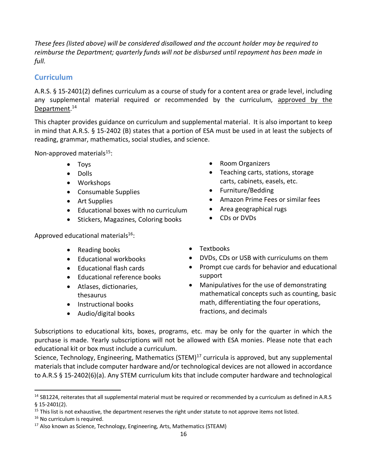*These fees (listed above) will be considered disallowed and the account holder may be required to reimburse the Department; quarterly funds will not be disbursed until repayment has been made in full.*

### <span id="page-15-0"></span>**Curriculum**

A.R.S. § 15-2401(2) defines curriculum as a course of study for a content area or grade level, including any supplemental material required or recommended by the curriculum, approved by the Department.<sup>14</sup>

This chapter provides guidance on curriculum and supplemental material. It is also important to keep in mind that A.R.S. § 15-2402 (B) states that a portion of ESA must be used in at least the subjects of reading, grammar, mathematics, social studies, and science.

Non-approved materials $15$ :

- Toys
- Dolls
- Workshops
- Consumable Supplies
- Art Supplies
- Educational boxes with no curriculum
- Stickers, Magazines, Coloring books

Approved educational materials<sup>16</sup>:

- Reading books
- Educational workbooks
- Educational flash cards
- Educational reference books
- Atlases, dictionaries, thesaurus
- Instructional books
- Audio/digital books
- Room Organizers
- Teaching carts, stations, storage carts, cabinets, easels, etc.
- Furniture/Bedding
- Amazon Prime Fees or similar fees
- Area geographical rugs
- CDs or DVDs
- Textbooks
- DVDs, CDs or USB with curriculums on them
- Prompt cue cards for behavior and educational support
- Manipulatives for the use of demonstrating mathematical concepts such as counting, basic math, differentiating the four operations, fractions, and decimals

Subscriptions to educational kits, boxes, programs, etc. may be only for the quarter in which the purchase is made. Yearly subscriptions will not be allowed with ESA monies. Please note that each educational kit or box must include a curriculum.

Science, Technology, Engineering, Mathematics (STEM)<sup>17</sup> curricula is approved, but any supplemental materials that include computer hardware and/or technological devices are not allowed in accordance to A.R.S § 15-2402(6)(a). Any STEM curriculum kits that include computer hardware and technological

 $14$  SB1224, reiterates that all supplemental material must be required or recommended by a curriculum as defined in A.R.S § 15-2401(2).

 $15$  This list is not exhaustive, the department reserves the right under statute to not approve items not listed.

<sup>&</sup>lt;sup>16</sup> No curriculum is required.

<sup>&</sup>lt;sup>17</sup> Also known as Science, Technology, Engineering, Arts, Mathematics (STEAM)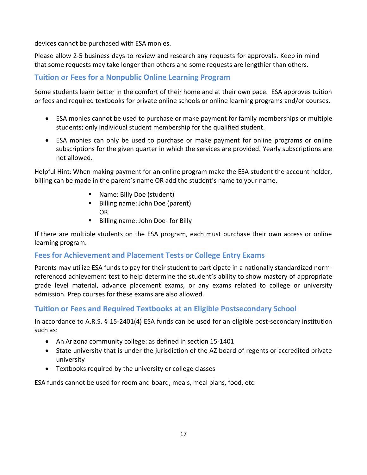devices cannot be purchased with ESA monies.

Please allow 2-5 business days to review and research any requests for approvals. Keep in mind that some requests may take longer than others and some requests are lengthier than others.

## **Tuition or Fees for a Nonpublic Online Learning Program**

Some students learn better in the comfort of their home and at their own pace. ESA approves tuition or fees and required textbooks for private online schools or online learning programs and/or courses.

- ESA monies cannot be used to purchase or make payment for family memberships or multiple students; only individual student membership for the qualified student.
- ESA monies can only be used to purchase or make payment for online programs or online subscriptions for the given quarter in which the services are provided. Yearly subscriptions are not allowed.

Helpful Hint: When making payment for an online program make the ESA student the account holder, billing can be made in the parent's name OR add the student's name to your name.

- <span id="page-16-0"></span>■ Name: Billy Doe (student)
- Billing name: John Doe (parent) OR
- Billing name: John Doe- for Billy

If there are multiple students on the ESA program, each must purchase their own access or online learning program.

### <span id="page-16-1"></span>**Fees for Achievement and Placement Tests or College Entry Exams**

Parents may utilize ESA funds to pay for their student to participate in a nationally standardized normreferenced achievement test to help determine the student's ability to show mastery of appropriate grade level material, advance placement exams, or any exams related to college or university admission. Prep courses for these exams are also allowed.

### <span id="page-16-2"></span>**Tuition or Fees and Required Textbooks at an Eligible Postsecondary School**

In accordance to A.R.S. § 15-2401(4) ESA funds can be used for an eligible post-secondary institution such as:

- An Arizona community college: as defined in section 15-1401
- State university that is under the jurisdiction of the AZ board of regents or accredited private university
- Textbooks required by the university or college classes

<span id="page-16-3"></span>ESA funds cannot be used for room and board, meals, meal plans, food, etc.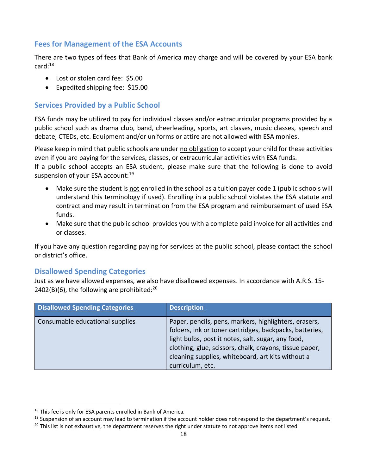### **Fees for Management of the ESA Accounts**

There are two types of fees that Bank of America may charge and will be covered by your ESA bank  $card: <sup>18</sup>$ 

- <span id="page-17-0"></span>• Lost or stolen card fee: \$5.00
- Expedited shipping fee: \$15.00

### **Services Provided by a Public School**

ESA funds may be utilized to pay for individual classes and/or extracurricular programs provided by a public school such as drama club, band, cheerleading, sports, art classes, music classes, speech and debate, CTEDs, etc. Equipment and/or uniforms or attire are not allowed with ESA monies.

Please keep in mind that public schools are under no obligation to accept your child for these activities even if you are paying for the services, classes, or extracurricular activities with ESA funds.

If a public school accepts an ESA student, please make sure that the following is done to avoid suspension of your ESA account:<sup>19</sup>

- Make sure the student is not enrolled in the school as a tuition payer code 1 (public schools will understand this terminology if used). Enrolling in a public school violates the ESA statute and contract and may result in termination from the ESA program and reimbursement of used ESA funds.
- <span id="page-17-1"></span>• Make sure that the public school provides you with a complete paid invoice for all activities and or classes.

If you have any question regarding paying for services at the public school, please contact the school or district's office.

### **Disallowed Spending Categories**

Just as we have allowed expenses, we also have disallowed expenses. In accordance with A.R.S. 15- 2402(B)(6), the following are prohibited: $^{20}$ 

| <b>Disallowed Spending Categories</b> | <b>Description</b>                                                                                                                                                                                                                                                                                         |
|---------------------------------------|------------------------------------------------------------------------------------------------------------------------------------------------------------------------------------------------------------------------------------------------------------------------------------------------------------|
| Consumable educational supplies       | Paper, pencils, pens, markers, highlighters, erasers,<br>folders, ink or toner cartridges, backpacks, batteries,<br>light bulbs, post it notes, salt, sugar, any food,<br>clothing, glue, scissors, chalk, crayons, tissue paper,<br>cleaning supplies, whiteboard, art kits without a<br>curriculum, etc. |

<sup>&</sup>lt;sup>18</sup> This fee is only for ESA parents enrolled in Bank of America.

<sup>&</sup>lt;sup>19</sup> Suspension of an account may lead to termination if the account holder does not respond to the department's request.

 $20$  This list is not exhaustive, the department reserves the right under statute to not approve items not listed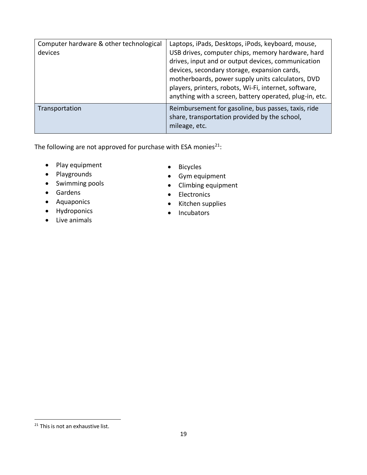| Computer hardware & other technological<br>devices | Laptops, iPads, Desktops, iPods, keyboard, mouse,<br>USB drives, computer chips, memory hardware, hard<br>drives, input and or output devices, communication<br>devices, secondary storage, expansion cards,<br>motherboards, power supply units calculators, DVD<br>players, printers, robots, Wi-Fi, internet, software,<br>anything with a screen, battery operated, plug-in, etc. |
|----------------------------------------------------|---------------------------------------------------------------------------------------------------------------------------------------------------------------------------------------------------------------------------------------------------------------------------------------------------------------------------------------------------------------------------------------|
| Transportation                                     | Reimbursement for gasoline, bus passes, taxis, ride<br>share, transportation provided by the school,<br>mileage, etc.                                                                                                                                                                                                                                                                 |

The following are not approved for purchase with ESA monies $^{21}$ :

- Play equipment
- Playgrounds
- Swimming pools
- Gardens
- Aquaponics
- Hydroponics
- Live animals
- Bicycles
- Gym equipment
- Climbing equipment
- Electronics
- Kitchen supplies
- Incubators

<sup>&</sup>lt;sup>21</sup> This is not an exhaustive list.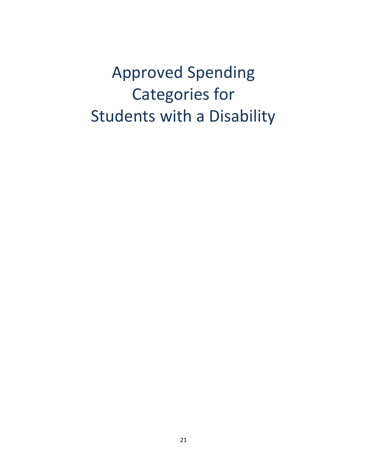Approved Spending Categories for Students with a Disability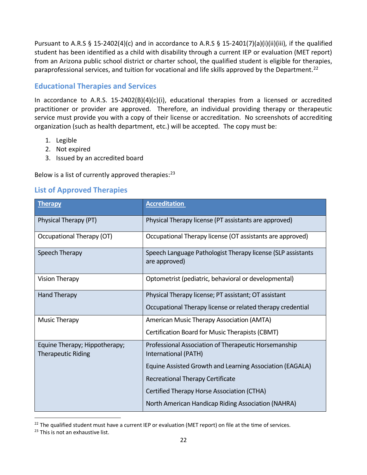Pursuant to A.R.S § 15-2402(4)(c) and in accordance to A.R.S § 15-2401(7)(a)(i)(ii)(iii), if the qualified student has been identified as a child with disability through a current IEP or evaluation (MET report) from an Arizona public school district or charter school, the qualified student is eligible for therapies, paraprofessional services, and tuition for vocational and life skills approved by the Department.<sup>22</sup>

### <span id="page-20-0"></span>**Educational Therapies and Services**

In accordance to A.R.S. 15-2402(B)(4)(c)(i), educational therapies from a licensed or accredited practitioner or provider are approved. Therefore, an individual providing therapy or therapeutic service must provide you with a copy of their license or accreditation. No screenshots of accrediting organization (such as health department, etc.) will be accepted. The copy must be:

- 1. Legible
- 2. Not expired
- 3. Issued by an accredited board

Below is a list of currently approved therapies:<sup>23</sup>

### <span id="page-20-1"></span>**List of Approved Therapies**

| <b>Therapy</b>                                             | <b>Accreditation</b>                                                         |  |
|------------------------------------------------------------|------------------------------------------------------------------------------|--|
| Physical Therapy (PT)                                      | Physical Therapy license (PT assistants are approved)                        |  |
| Occupational Therapy (OT)                                  | Occupational Therapy license (OT assistants are approved)                    |  |
| Speech Therapy                                             | Speech Language Pathologist Therapy license (SLP assistants<br>are approved) |  |
| <b>Vision Therapy</b>                                      | Optometrist (pediatric, behavioral or developmental)                         |  |
| Hand Therapy                                               | Physical Therapy license; PT assistant; OT assistant                         |  |
|                                                            | Occupational Therapy license or related therapy credential                   |  |
| Music Therapy                                              | American Music Therapy Association (AMTA)                                    |  |
|                                                            | Certification Board for Music Therapists (CBMT)                              |  |
| Equine Therapy; Hippotherapy;<br><b>Therapeutic Riding</b> | Professional Association of Therapeutic Horsemanship<br>International (PATH) |  |
|                                                            | Equine Assisted Growth and Learning Association (EAGALA)                     |  |
|                                                            | Recreational Therapy Certificate                                             |  |
|                                                            | Certified Therapy Horse Association (CTHA)                                   |  |
|                                                            | North American Handicap Riding Association (NAHRA)                           |  |

 $22$  The qualified student must have a current IEP or evaluation (MET report) on file at the time of services.

<sup>&</sup>lt;sup>23</sup> This is not an exhaustive list.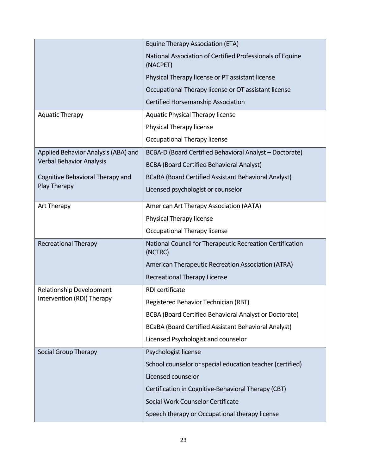|                                     | Equine Therapy Association (ETA)                                      |  |
|-------------------------------------|-----------------------------------------------------------------------|--|
|                                     | National Association of Certified Professionals of Equine<br>(NACPET) |  |
|                                     | Physical Therapy license or PT assistant license                      |  |
|                                     | Occupational Therapy license or OT assistant license                  |  |
|                                     | Certified Horsemanship Association                                    |  |
| <b>Aquatic Therapy</b>              | <b>Aquatic Physical Therapy license</b>                               |  |
|                                     | Physical Therapy license                                              |  |
|                                     | Occupational Therapy license                                          |  |
| Applied Behavior Analysis (ABA) and | BCBA-D (Board Certified Behavioral Analyst - Doctorate)               |  |
| <b>Verbal Behavior Analysis</b>     | <b>BCBA (Board Certified Behavioral Analyst)</b>                      |  |
| Cognitive Behavioral Therapy and    | BCaBA (Board Certified Assistant Behavioral Analyst)                  |  |
| Play Therapy                        | Licensed psychologist or counselor                                    |  |
| Art Therapy                         | American Art Therapy Association (AATA)                               |  |
|                                     | Physical Therapy license                                              |  |
|                                     | Occupational Therapy license                                          |  |
| <b>Recreational Therapy</b>         | National Council for Therapeutic Recreation Certification<br>(NCTRC)  |  |
|                                     | American Therapeutic Recreation Association (ATRA)                    |  |
|                                     | <b>Recreational Therapy License</b>                                   |  |
| Relationship Development            | RDI certificate                                                       |  |
| Intervention (RDI) Therapy          | Registered Behavior Technician (RBT)                                  |  |
|                                     | BCBA (Board Certified Behavioral Analyst or Doctorate)                |  |
|                                     | BCaBA (Board Certified Assistant Behavioral Analyst)                  |  |
|                                     | Licensed Psychologist and counselor                                   |  |
| Social Group Therapy                | Psychologist license                                                  |  |
|                                     | School counselor or special education teacher (certified)             |  |
|                                     | Licensed counselor                                                    |  |
|                                     | Certification in Cognitive-Behavioral Therapy (CBT)                   |  |
|                                     | Social Work Counselor Certificate                                     |  |
|                                     | Speech therapy or Occupational therapy license                        |  |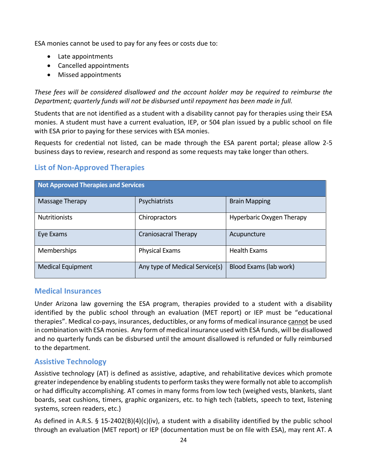ESA monies cannot be used to pay for any fees or costs due to:

- Late appointments
- Cancelled appointments
- Missed appointments

*These fees will be considered disallowed and the account holder may be required to reimburse the Department; quarterly funds will not be disbursed until repayment has been made in full.*

Students that are not identified as a student with a disability cannot pay for therapies using their ESA monies. A student must have a current evaluation, IEP, or 504 plan issued by a public school on file with ESA prior to paying for these services with ESA monies.

Requests for credential not listed, can be made through the ESA parent portal; please allow 2-5 business days to review, research and respond as some requests may take longer than others.

### <span id="page-22-0"></span>**List of Non-Approved Therapies**

| <b>Not Approved Therapies and Services</b> |                                |                           |  |
|--------------------------------------------|--------------------------------|---------------------------|--|
| Massage Therapy                            | Psychiatrists                  | <b>Brain Mapping</b>      |  |
| <b>Nutritionists</b>                       | Chiropractors                  | Hyperbaric Oxygen Therapy |  |
| Eye Exams                                  | <b>Craniosacral Therapy</b>    | Acupuncture               |  |
| <b>Memberships</b>                         | <b>Physical Exams</b>          | <b>Health Exams</b>       |  |
| <b>Medical Equipment</b>                   | Any type of Medical Service(s) | Blood Exams (lab work)    |  |

### <span id="page-22-1"></span>**Medical Insurances**

Under Arizona law governing the ESA program, therapies provided to a student with a disability identified by the public school through an evaluation (MET report) or IEP must be "educational therapies". Medical co-pays, insurances, deductibles, or any forms of medical insurance cannot be used in combination with ESA monies. Any form of medical insurance used with ESA funds, will be disallowed and no quarterly funds can be disbursed until the amount disallowed is refunded or fully reimbursed to the department.

### **Assistive Technology**

Assistive technology (AT) is defined as assistive, adaptive, and rehabilitative devices which promote greater independence by enabling students to perform tasks they were formally not able to accomplish or had difficulty accomplishing. AT comes in many forms from low tech (weighed vests, blankets, slant boards, seat cushions, timers, graphic organizers, etc. to high tech (tablets, speech to text, listening systems, screen readers, etc.)

As defined in A.R.S. § 15-2402(B)(4)(c)(iv), a student with a disability identified by the public school through an evaluation (MET report) or IEP (documentation must be on file with ESA), may rent AT. A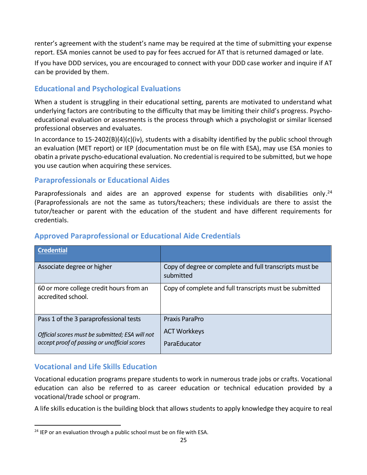renter's agreement with the student's name may be required at the time of submitting your expense report. ESA monies cannot be used to pay for fees accrued for AT that is returned damaged or late.

If you have DDD services, you are encouraged to connect with your DDD case worker and inquire if AT can be provided by them.

### <span id="page-23-0"></span>**Educational and Psychological Evaluations**

When a student is struggling in their educational setting, parents are motivated to understand what underlying factors are contributing to the difficulty that may be limiting their child's progress. Psychoeducational evaluation or assesments is the process through which a psychologist or similar licensed professional observes and evaluates.

In accordance to 15-2402(B)(4)(c)(iv), students with a disabilty identified by the public school through an evaluation (MET report) or IEP (documentation must be on file with ESA), may use ESA monies to obatin a private pyscho-educational evaluation. No credential is required to be submitted, but we hope you use caution when acquiring these services.

### **Paraprofessionals or Educational Aides**

Paraprofessionals and aides are an approved expense for students with disabilities only.<sup>24</sup> (Paraprofessionals are not the same as tutors/teachers; these individuals are there to assist the tutor/teacher or parent with the education of the student and have different requirements for credentials.

| <b>Credential</b>                                                                                                                         |                                                                      |
|-------------------------------------------------------------------------------------------------------------------------------------------|----------------------------------------------------------------------|
| Associate degree or higher                                                                                                                | Copy of degree or complete and full transcripts must be<br>submitted |
| 60 or more college credit hours from an<br>accredited school.                                                                             | Copy of complete and full transcripts must be submitted              |
| Pass 1 of the 3 paraprofessional tests<br>Official scores must be submitted; ESA will not<br>accept proof of passing or unofficial scores | Praxis ParaPro<br><b>ACT Workkeys</b><br>ParaEducator                |

### <span id="page-23-1"></span>**Approved Paraprofessional or Educational Aide Credentials**

### <span id="page-23-2"></span>**Vocational and Life Skills Education**

Vocational education programs prepare students to work in numerous trade jobs or crafts. Vocational education can also be referred to as career education or technical education provided by a vocational/trade school or program.

A life skills education is the building block that allows students to apply knowledge they acquire to real

 $24$  IEP or an evaluation through a public school must be on file with ESA.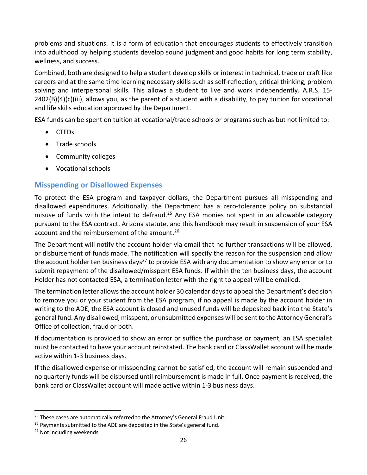problems and situations. It is a form of education that encourages students to effectively transition into adulthood by helping students develop sound judgment and good habits for long term stability, wellness, and success.

Combined, both are designed to help a student develop skills or interest in technical, trade or craft like careers and at the same time learning necessary skills such as self-reflection, critical thinking, problem solving and interpersonal skills. This allows a student to live and work independently. A.R.S. 15-  $2402(B)(4)(c)(iii)$ , allows you, as the parent of a student with a disability, to pay tuition for vocational and life skills education approved by the Department.

ESA funds can be spent on tuition at vocational/trade schools or programs such as but not limited to:

- CTEDs
- Trade schools
- Community colleges
- <span id="page-24-0"></span>• Vocational schools

# **Misspending or Disallowed Expenses**

To protect the ESA program and taxpayer dollars, the Department pursues all misspending and disallowed expenditures. Additionally, the Department has a zero-tolerance policy on substantial misuse of funds with the intent to defraud.<sup>25</sup> Any ESA monies not spent in an allowable category pursuant to the ESA contract, Arizona statute, and this handbook may result in suspension of your ESA account and the reimbursement of the amount.<sup>26</sup>

The Department will notify the account holder via email that no further transactions will be allowed, or disbursement of funds made. The notification will specify the reason for the suspension and allow the account holder ten business days<sup>27</sup> to provide ESA with any documentation to show any error or to submit repayment of the disallowed/misspent ESA funds. If within the ten business days, the account Holder has not contacted ESA, a termination letter with the right to appeal will be emailed.

The termination letter allows the account holder 30 calendar days to appeal the Department's decision to remove you or your student from the ESA program, if no appeal is made by the account holder in writing to the ADE, the ESA account is closed and unused funds will be deposited back into the State's general fund. Any disallowed, misspent, or unsubmitted expenses will be sent to the Attorney General's Office of collection, fraud or both.

If documentation is provided to show an error or suffice the purchase or payment, an ESA specialist must be contacted to have your account reinstated. The bank card or ClassWallet account will be made active within 1-3 business days.

If the disallowed expense or misspending cannot be satisfied, the account will remain suspended and no quarterly funds will be disbursed until reimbursement is made in full. Once payment is received, the bank card or ClassWallet account will made active within 1-3 business days.

<sup>&</sup>lt;sup>25</sup> These cases are automatically referred to the Attorney's General Fraud Unit.

<sup>&</sup>lt;sup>26</sup> Payments submitted to the ADE are deposited in the State's general fund.

<sup>&</sup>lt;sup>27</sup> Not including weekends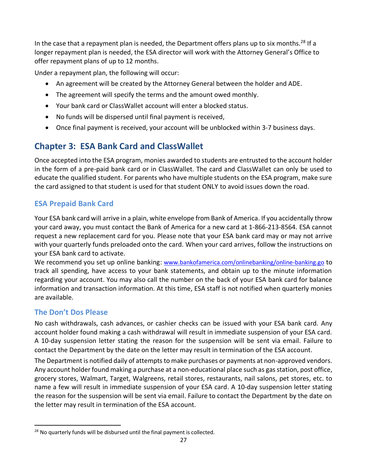In the case that a repayment plan is needed, the Department offers plans up to six months.<sup>28</sup> If a longer repayment plan is needed, the ESA director will work with the Attorney General's Office to offer repayment plans of up to 12 months.

Under a repayment plan, the following will occur:

- An agreement will be created by the Attorney General between the holder and ADE.
- The agreement will specify the terms and the amount owed monthly.
- Your bank card or ClassWallet account will enter a blocked status.
- No funds will be dispersed until final payment is received,
- Once final payment is received, your account will be unblocked within 3-7 business days.

# **Chapter 3: ESA Bank Card and ClassWallet**

Once accepted into the ESA program, monies awarded to students are entrusted to the account holder in the form of a pre-paid bank card or in ClassWallet. The card and ClassWallet can only be used to educate the qualified student. For parents who have multiple students on the ESA program, make sure the card assigned to that student is used for that student ONLY to avoid issues down the road.

# <span id="page-25-0"></span>**ESA Prepaid Bank Card**

Your ESA bank card will arrive in a plain, white envelope from Bank of America. If you accidentally throw your card away, you must contact the Bank of America for a new card at 1-866-213-8564. ESA cannot request a new replacement card for you. Please note that your ESA bank card may or may not arrive with your quarterly funds preloaded onto the card. When your card arrives, follow the instructions on your ESA bank card to activate.

We recommend you set up online banking: [www.bankofamerica.com/onlinebanking/online-banking.go](http://www.bankofamerica.com/onlinebanking/online-banking.go) to track all spending, have access to your bank statements, and obtain up to the minute information regarding your account. You may also call the number on the back of your ESA bank card for balance information and transaction information. At this time, ESA staff is not notified when quarterly monies are available.

### **The Don't Dos Please**

No cash withdrawals, cash advances, or cashier checks can be issued with your ESA bank card. Any account holder found making a cash withdrawal will result in immediate suspension of your ESA card. A 10-day suspension letter stating the reason for the suspension will be sent via email. Failure to contact the Department by the date on the letter may result in termination of the ESA account.

The Department is notified daily of attempts to make purchases or payments at non-approved vendors. Any account holder found making a purchase at a non-educational place such as gasstation, post office, grocery stores, Walmart, Target, Walgreens, retail stores, restaurants, nail salons, pet stores, etc. to name a few will result in immediate suspension of your ESA card. A 10-day suspension letter stating the reason for the suspension will be sent via email. Failure to contact the Department by the date on the letter may result in termination of the ESA account.

 $28$  No quarterly funds will be disbursed until the final payment is collected.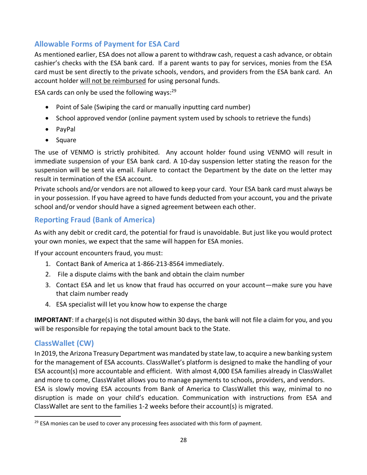### <span id="page-26-0"></span>**Allowable Forms of Payment for ESA Card**

As mentioned earlier, ESA does not allow a parent to withdraw cash, request a cash advance, or obtain cashier's checks with the ESA bank card. If a parent wants to pay for services, monies from the ESA card must be sent directly to the private schools, vendors, and providers from the ESA bank card. An account holder will not be reimbursed for using personal funds.

ESA cards can only be used the following ways: $^{29}$ 

- Point of Sale (Swiping the card or manually inputting card number)
- School approved vendor (online payment system used by schools to retrieve the funds)
- PayPal
- Square

The use of VENMO is strictly prohibited. Any account holder found using VENMO will result in immediate suspension of your ESA bank card. A 10-day suspension letter stating the reason for the suspension will be sent via email. Failure to contact the Department by the date on the letter may result in termination of the ESA account.

Private schools and/or vendors are not allowed to keep your card. Your ESA bank card must always be in your possession. If you have agreed to have funds deducted from your account, you and the private school and/or vendor should have a signed agreement between each other.

### **Reporting Fraud (Bank of America)**

As with any debit or credit card, the potential for fraud is unavoidable. But just like you would protect your own monies, we expect that the same will happen for ESA monies.

If your account encounters fraud, you must:

- 1. Contact Bank of America at 1-866-213-8564 immediately.
- 2. File a dispute claims with the bank and obtain the claim number
- 3. Contact ESA and let us know that fraud has occurred on your account—make sure you have that claim number ready
- 4. ESA specialist will let you know how to expense the charge

**IMPORTANT**: If a charge(s) is not disputed within 30 days, the bank will not file a claim for you, and you will be responsible for repaying the total amount back to the State.

### **ClassWallet (CW)**

In 2019, the Arizona Treasury Department was mandated by state law, to acquire a new banking system for the management of ESA accounts. ClassWallet's platform is designed to make the handling of your ESA account(s) more accountable and efficient. With almost 4,000 ESA families already in ClassWallet and more to come, ClassWallet allows you to manage payments to schools, providers, and vendors. ESA is slowly moving ESA accounts from Bank of America to ClassWallet this way, minimal to no

disruption is made on your child's education. Communication with instructions from ESA and ClassWallet are sent to the families 1-2 weeks before their account(s) is migrated.

 $29$  ESA monies can be used to cover any processing fees associated with this form of payment.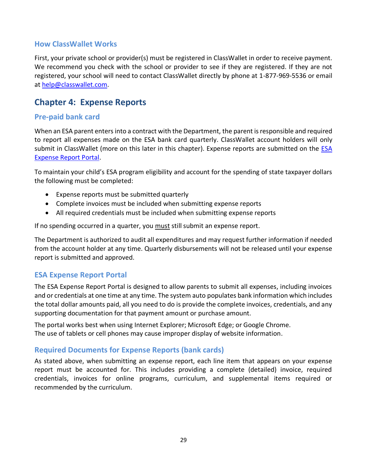### **How ClassWallet Works**

First, your private school or provider(s) must be registered in ClassWallet in order to receive payment. We recommend you check with the school or provider to see if they are registered. If they are not registered, your school will need to contact ClassWallet directly by phone at 1-877-969-5536 or email at [help@classwallet.com.](mailto:help@classwallet.com)

# <span id="page-27-1"></span>**Chapter 4: Expense Reports**

### **Pre-paid bank card**

When an ESA parent enters into a contract with the Department, the parent is responsible and required to report all expenses made on the ESA bank card quarterly. ClassWallet account holders will only submit in ClassWallet (more on this later in this chapter). Expense reports are submitted on the ESA [Expense Report Portal.](http://www.azed.gov/esa/portal/)

To maintain your child's ESA program eligibility and account for the spending of state taxpayer dollars the following must be completed:

- Expense reports must be submitted quarterly
- Complete invoices must be included when submitting expense reports
- All required credentials must be included when submitting expense reports

If no spending occurred in a quarter, you must still submit an expense report.

The Department is authorized to audit all expenditures and may request further information if needed from the account holder at any time. Quarterly disbursements will not be released until your expense report is submitted and approved.

#### <span id="page-27-0"></span>**ESA Expense Report Portal**

The ESA Expense Report Portal is designed to allow parents to submit all expenses, including invoices and or credentials at one time at any time. The system auto populates bank information which includes the total dollar amounts paid, all you need to do is provide the complete invoices, credentials, and any supporting documentation for that payment amount or purchase amount.

The portal works best when using Internet Explorer; Microsoft Edge; or Google Chrome. The use of tablets or cell phones may cause improper display of website information.

#### **Required Documents for Expense Reports (bank cards)**

As stated above, when submitting an expense report, each line item that appears on your expense report must be accounted for. This includes providing a complete (detailed) invoice, required credentials, invoices for online programs, curriculum, and supplemental items required or recommended by the curriculum.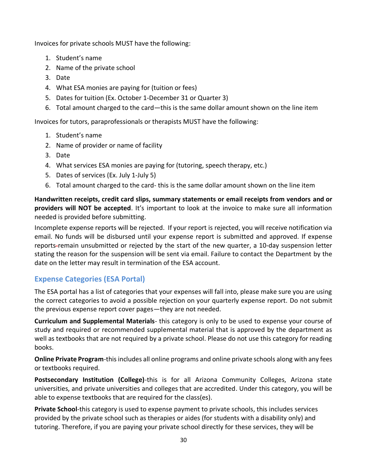Invoices for private schools MUST have the following:

- 1. Student's name
- 2. Name of the private school
- 3. Date
- 4. What ESA monies are paying for (tuition or fees)
- 5. Dates for tuition (Ex. October 1-December 31 or Quarter 3)
- 6. Total amount charged to the card—this is the same dollar amount shown on the line item

Invoices for tutors, paraprofessionals or therapists MUST have the following:

- 1. Student's name
- 2. Name of provider or name of facility
- 3. Date
- 4. What services ESA monies are paying for (tutoring, speech therapy, etc.)
- 5. Dates of services (Ex. July 1-July 5)
- 6. Total amount charged to the card- this is the same dollar amount shown on the line item

**Handwritten receipts, credit card slips, summary statements or email receipts from vendors and or providers will NOT be accepted**. It's important to look at the invoice to make sure all information needed is provided before submitting.

Incomplete expense reports will be rejected. If your report is rejected, you will receive notification via email. No funds will be disbursed until your expense report is submitted and approved. If expense reports-remain unsubmitted or rejected by the start of the new quarter, a 10-day suspension letter stating the reason for the suspension will be sent via email. Failure to contact the Department by the date on the letter may result in termination of the ESA account.

# **Expense Categories (ESA Portal)**

The ESA portal has a list of categories that your expenses will fall into, please make sure you are using the correct categories to avoid a possible rejection on your quarterly expense report. Do not submit the previous expense report cover pages—they are not needed.

**Curriculum and Supplemental Materials**- this category is only to be used to expense your course of study and required or recommended supplemental material that is approved by the department as well as textbooks that are not required by a private school. Please do not use this category for reading books.

**Online Private Program**-this includes all online programs and online private schools along with any fees or textbooks required.

**Postsecondary Institution (College)**-this is for all Arizona Community Colleges, Arizona state universities, and private universities and colleges that are accredited. Under this category, you will be able to expense textbooks that are required for the class(es).

**Private School**-this category is used to expense payment to private schools, this includes services provided by the private school such as therapies or aides (for students with a disability only) and tutoring. Therefore, if you are paying your private school directly for these services, they will be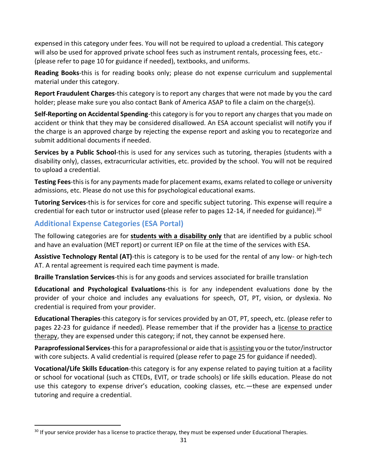expensed in this category under fees. You will not be required to upload a credential. This category will also be used for approved private school fees such as instrument rentals, processing fees, etc.-(please refer to page 10 for guidance if needed), textbooks, and uniforms.

**Reading Books**-this is for reading books only; please do not expense curriculum and supplemental material under this category.

**Report Fraudulent Charges**-this category is to report any charges that were not made by you the card holder; please make sure you also contact Bank of America ASAP to file a claim on the charge(s).

**Self-Reporting on Accidental Spending**-this category is for you to report any charges that you made on accident or think that they may be considered disallowed. An ESA account specialist will notify you if the charge is an approved charge by rejecting the expense report and asking you to recategorize and submit additional documents if needed.

**Services by a Public School**-this is used for any services such as tutoring, therapies (students with a disability only), classes, extracurricular activities, etc. provided by the school. You will not be required to upload a credential.

**Testing Fees**-this is for any payments made for placement exams, exams related to college or university admissions, etc. Please do not use this for psychological educational exams.

**Tutoring Services**-this is for services for core and specific subject tutoring. This expense will require a credential for each tutor or instructor used (please refer to pages 12-14, if needed for guidance).<sup>30</sup>

### **Additional Expense Categories (ESA Portal)**

The following categories are for **students with a disability only** that are identified by a public school and have an evaluation (MET report) or current IEP on file at the time of the services with ESA.

**Assistive Technology Rental (AT)**-this is category is to be used for the rental of any low- or high-tech AT. A rental agreement is required each time payment is made.

**Braille Translation Services**-this is for any goods and services associated for braille translation

**Educational and Psychological Evaluations**-this is for any independent evaluations done by the provider of your choice and includes any evaluations for speech, OT, PT, vision, or dyslexia. No credential is required from your provider.

**Educational Therapies**-this category is for services provided by an OT, PT, speech, etc. (please refer to pages 22-23 for guidance if needed). Please remember that if the provider has a license to practice therapy, they are expensed under this category; if not, they cannot be expensed here.

**Paraprofessional Services**-this for a paraprofessional or aide that is assisting you or the tutor/instructor with core subjects. A valid credential is required (please refer to page 25 for guidance if needed).

**Vocational/Life Skills Education**-this category is for any expense related to paying tuition at a facility or school for vocational (such as CTEDs, EVIT, or trade schools) or life skills education. Please do not use this category to expense driver's education, cooking classes, etc.—these are expensed under tutoring and require a credential.

<sup>&</sup>lt;sup>30</sup> If your service provider has a license to practice therapy, they must be expensed under Educational Therapies.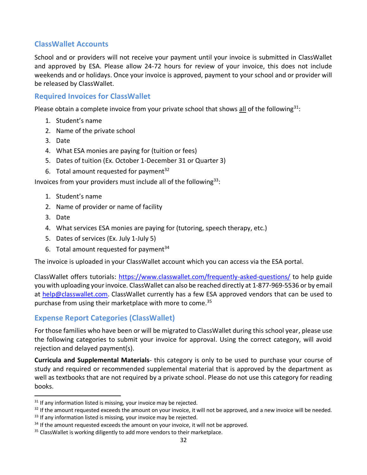### **ClassWallet Accounts**

School and or providers will not receive your payment until your invoice is submitted in ClassWallet and approved by ESA. Please allow 24-72 hours for review of your invoice, this does not include weekends and or holidays. Once your invoice is approved, payment to your school and or provider will be released by ClassWallet.

### **Required Invoices for ClassWallet**

Please obtain a complete invoice from your private school that shows all of the following<sup>31</sup>:

- 1. Student's name
- 2. Name of the private school
- 3. Date
- 4. What ESA monies are paying for (tuition or fees)
- 5. Dates of tuition (Ex. October 1-December 31 or Quarter 3)
- 6. Total amount requested for payment<sup>32</sup>

Invoices from your providers must include all of the following  $33$ :

- 1. Student's name
- 2. Name of provider or name of facility
- 3. Date
- 4. What services ESA monies are paying for (tutoring, speech therapy, etc.)
- 5. Dates of services (Ex. July 1-July 5)
- 6. Total amount requested for payment $34$

The invoice is uploaded in your ClassWallet account which you can access via the ESA portal.

ClassWallet offers tutorials:<https://www.classwallet.com/frequently-asked-questions/> to help guide you with uploading your invoice. ClassWallet can also be reached directly at 1-877-969-5536 or by email at [help@classwallet.com.](mailto:help@classwallet.com) ClassWallet currently has a few ESA approved vendors that can be used to purchase from using their marketplace with more to come.<sup>35</sup>

### **Expense Report Categories (ClassWallet)**

For those families who have been or will be migrated to ClassWallet during this school year, please use the following categories to submit your invoice for approval. Using the correct category, will avoid rejection and delayed payment(s).

**Curricula and Supplemental Materials**- this category is only to be used to purchase your course of study and required or recommended supplemental material that is approved by the department as well as textbooks that are not required by a private school. Please do not use this category for reading books.

 $31$  If any information listed is missing, your invoice may be rejected.

 $32$  If the amount requested exceeds the amount on your invoice, it will not be approved, and a new invoice will be needed.

<sup>&</sup>lt;sup>33</sup> If any information listed is missing, your invoice may be rejected.

<sup>&</sup>lt;sup>34</sup> If the amount requested exceeds the amount on your invoice, it will not be approved.

<sup>&</sup>lt;sup>35</sup> ClassWallet is working diligently to add more vendors to their marketplace.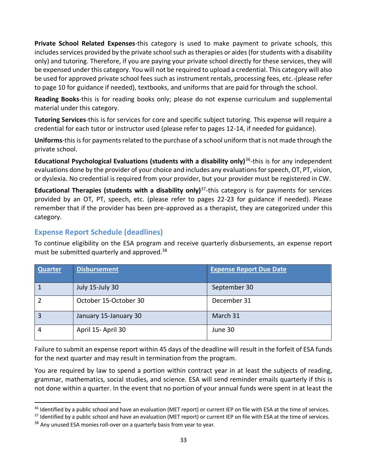**Private School Related Expenses**-this category is used to make payment to private schools, this includes services provided by the private school such as therapies or aides (for students with a disability only) and tutoring. Therefore, if you are paying your private school directly for these services, they will be expensed under this category. You will not be required to upload a credential. This category will also be used for approved private school fees such as instrument rentals, processing fees, etc.-(please refer to page 10 for guidance if needed), textbooks, and uniforms that are paid for through the school.

**Reading Books**-this is for reading books only; please do not expense curriculum and supplemental material under this category.

**Tutoring Services**-this is for services for core and specific subject tutoring. This expense will require a credential for each tutor or instructor used (please refer to pages 12-14, if needed for guidance).

**Uniforms**-this is for payments related to the purchase of a school uniform that is not made through the private school.

Educational Psychological Evaluations (students with a disability only)<sup>36</sup>-this is for any independent evaluations done by the provider of your choice and includes any evaluations for speech, OT, PT, vision, or dyslexia. No credential is required from your provider, but your provider must be registered in CW.

**Educational Therapies (students with a disability only)**<sup>37</sup> -this category is for payments for services provided by an OT, PT, speech, etc. (please refer to pages 22-23 for guidance if needed). Please remember that if the provider has been pre-approved as a therapist, they are categorized under this category.

### <span id="page-31-0"></span>**Expense Report Schedule (deadlines)**

To continue eligibility on the ESA program and receive quarterly disbursements, an expense report must be submitted quarterly and approved. 38

| <b>Quarter</b> | <b>Disbursement</b>   | <b>Expense Report Due Date</b> |
|----------------|-----------------------|--------------------------------|
|                |                       |                                |
|                | July 15-July 30       | September 30                   |
|                | October 15-October 30 | December 31                    |
|                | January 15-January 30 | March 31                       |
|                | April 15- April 30    | June 30                        |

Failure to submit an expense report within 45 days of the deadline will result in the forfeit of ESA funds for the next quarter and may result in termination from the program.

You are required by law to spend a portion within contract year in at least the subjects of reading, grammar, mathematics, social studies, and science. ESA will send reminder emails quarterly if this is not done within a quarter. In the event that no portion of your annual funds were spent in at least the

<sup>&</sup>lt;sup>36</sup> Identified by a public school and have an evaluation (MET report) or current IEP on file with ESA at the time of services.

<sup>37</sup> Identified by a public school and have an evaluation (MET report) or current IEP on file with ESA at the time of services.

<sup>&</sup>lt;sup>38</sup> Any unused ESA monies roll-over on a quarterly basis from year to year.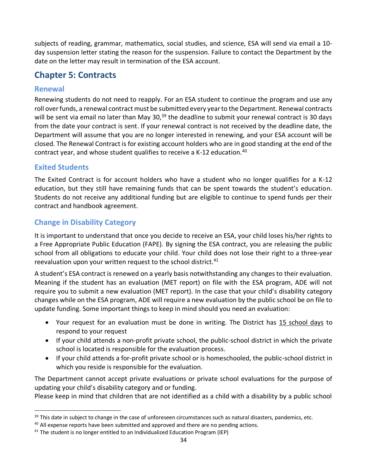subjects of reading, grammar, mathematics, social studies, and science, ESA will send via email a 10 day suspension letter stating the reason for the suspension. Failure to contact the Department by the date on the letter may result in termination of the ESA account.

# <span id="page-32-0"></span>**Chapter 5: Contracts**

### **Renewal**

Renewing students do not need to reapply. For an ESA student to continue the program and use any roll over funds, a renewal contract must be submitted every year to the Department. Renewal contracts will be sent via email no later than May 30, $^{39}$  the deadline to submit your renewal contract is 30 days from the date your contract is sent. If your renewal contract is not received by the deadline date, the Department will assume that you are no longer interested in renewing, and your ESA account will be closed. The Renewal Contract is for existing account holders who are in good standing at the end of the contract year, and whose student qualifies to receive a K-12 education.<sup>40</sup>

### **Exited Students**

The Exited Contract is for account holders who have a student who no longer qualifies for a K-12 education, but they still have remaining funds that can be spent towards the student's education. Students do not receive any additional funding but are eligible to continue to spend funds per their contract and handbook agreement.

## <span id="page-32-1"></span>**Change in Disability Category**

It is important to understand that once you decide to receive an ESA, your child loses his/her rights to a Free Appropriate Public Education (FAPE). By signing the ESA contract, you are releasing the public school from all obligations to educate your child. Your child does not lose their right to a three-year reevaluation upon your written request to the school district.<sup>41</sup>

A student's ESA contract is renewed on a yearly basis notwithstanding any changes to their evaluation. Meaning if the student has an evaluation (MET report) on file with the ESA program, ADE will not require you to submit a new evaluation (MET report). In the case that your child's disability category changes while on the ESA program, ADE will require a new evaluation by the public school be on file to update funding. Some important things to keep in mind should you need an evaluation:

- Your request for an evaluation must be done in writing. The District has 15 school days to respond to your request
- If your child attends a non-profit private school, the public-school district in which the private school is located is responsible for the evaluation process.
- <span id="page-32-2"></span>• If your child attends a for-profit private school or is homeschooled, the public-school district in which you reside is responsible for the evaluation.

The Department cannot accept private evaluations or private school evaluations for the purpose of updating your child's disability category and or funding.

Please keep in mind that children that are not identified as a child with a disability by a public school

 $39$  This date in subject to change in the case of unforeseen circumstances such as natural disasters, pandemics, etc.

<sup>&</sup>lt;sup>40</sup> All expense reports have been submitted and approved and there are no pending actions.

 $41$  The student is no longer entitled to an Individualized Education Program (IEP)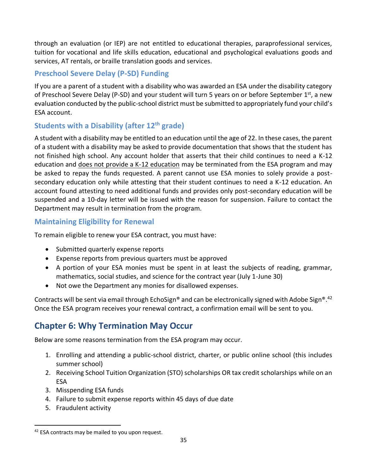through an evaluation (or IEP) are not entitled to educational therapies, paraprofessional services, tuition for vocational and life skills education, educational and psychological evaluations goods and services, AT rentals, or braille translation goods and services.

# **Preschool Severe Delay (P-SD) Funding**

If you are a parent of a student with a disability who was awarded an ESA under the disability category of Preschool Severe Delay (P-SD) and your student will turn 5 years on or before September 1<sup>st</sup>, a new evaluation conducted by the public-school district must be submitted to appropriately fund your child's ESA account.

# **Students with a Disability (after 12th grade)**

A student with a disability may be entitled to an education until the age of 22. In these cases, the parent of a student with a disability may be asked to provide documentation that shows that the student has not finished high school. Any account holder that asserts that their child continues to need a K-12 education and does not provide a K-12 education may be terminated from the ESA program and may be asked to repay the funds requested. A parent cannot use ESA monies to solely provide a postsecondary education only while attesting that their student continues to need a K-12 education. An account found attesting to need additional funds and provides only post-secondary education will be suspended and a 10-day letter will be issued with the reason for suspension. Failure to contact the Department may result in termination from the program.

## <span id="page-33-0"></span>**Maintaining Eligibility for Renewal**

To remain eligible to renew your ESA contract, you must have:

- Submitted quarterly expense reports
- Expense reports from previous quarters must be approved
- A portion of your ESA monies must be spent in at least the subjects of reading, grammar, mathematics, social studies, and science for the contract year (July 1-June 30)
- Not owe the Department any monies for disallowed expenses.

Contracts will be sent via email through EchoSign® and can be electronically signed with Adobe Sign®.<sup>42</sup> Once the ESA program receives your renewal contract, a confirmation email will be sent to you.

# <span id="page-33-1"></span>**Chapter 6: Why Termination May Occur**

Below are some reasons termination from the ESA program may occur.

- 1. Enrolling and attending a public-school district, charter, or public online school (this includes summer school)
- 2. Receiving School Tuition Organization (STO) scholarships OR tax credit scholarships while on an ESA
- 3. Misspending ESA funds
- 4. Failure to submit expense reports within 45 days of due date
- 5. Fraudulent activity

 $42$  ESA contracts may be mailed to you upon request.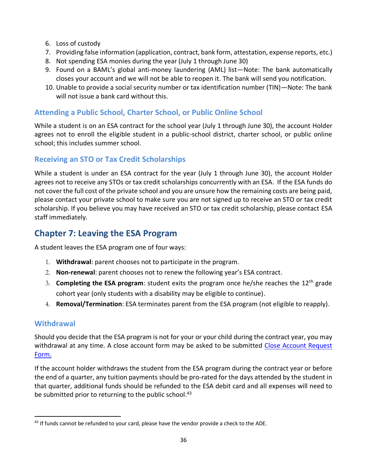- 6. Loss of custody
- 7. Providing false information (application, contract, bank form, attestation, expense reports, etc.)
- 8. Not spending ESA monies during the year (July 1 through June 30)
- 9. Found on a BAML's global anti-money laundering (AML) list—Note: The bank automatically closes your account and we will not be able to reopen it. The bank will send you notification.
- 10. Unable to provide a social security number or tax identification number (TIN)—Note: The bank will not issue a bank card without this.

# <span id="page-34-0"></span>**Attending a Public School, Charter School, or Public Online School**

While a student is on an ESA contract for the school year (July 1 through June 30), the account Holder agrees not to enroll the eligible student in a public-school district, charter school, or public online school; this includes summer school.

# <span id="page-34-1"></span>**Receiving an STO or Tax Credit Scholarships**

While a student is under an ESA contract for the year (July 1 through June 30), the account Holder agrees not to receive any STOs or tax credit scholarships concurrently with an ESA. If the ESA funds do not cover the full cost of the private school and you are unsure how the remaining costs are being paid, please contact your private school to make sure you are not signed up to receive an STO or tax credit scholarship. If you believe you may have received an STO or tax credit scholarship, please contact ESA staff immediately.

# <span id="page-34-2"></span>**Chapter 7: Leaving the ESA Program**

A student leaves the ESA program one of four ways:

- 1. **Withdrawal**: parent chooses not to participate in the program.
- 2. **Non-renewal**: parent chooses not to renew the following year's ESA contract.
- 3. **Completing the ESA program**: student exits the program once he/she reaches the 12th grade cohort year (only students with a disability may be eligible to continue).
- 4. **Removal/Termination**: ESA terminates parent from the ESA program (not eligible to reapply).

# **Withdrawal**

Should you decide that the ESA program is not for your or your child during the contract year, you may withdrawal at any time. A close account form may be asked to be submitted Close Account Request [Form.](https://cms.azed.gov/home/GetDocumentFile?id=5a25df513217e11308089ff7)

If the account holder withdraws the student from the ESA program during the contract year or before the end of a quarter, any tuition payments should be pro-rated for the days attended by the student in that quarter, additional funds should be refunded to the ESA debit card and all expenses will need to be submitted prior to returning to the public school.<sup>43</sup>

 $43$  If funds cannot be refunded to your card, please have the vendor provide a check to the ADE.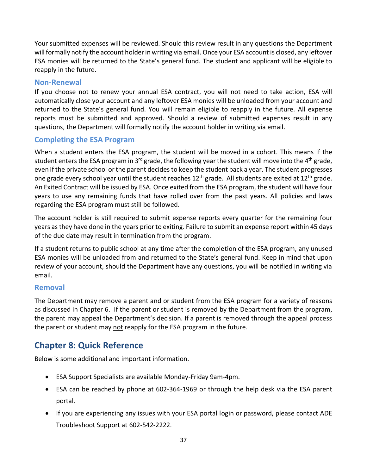Your submitted expenses will be reviewed. Should this review result in any questions the Department will formally notify the account holder in writing via email. Once your ESA account is closed, any leftover ESA monies will be returned to the State's general fund. The student and applicant will be eligible to reapply in the future.

### <span id="page-35-1"></span>**Non-Renewal**

If you choose not to renew your annual ESA contract, you will not need to take action, ESA will automatically close your account and any leftover ESA monies will be unloaded from your account and returned to the State's general fund. You will remain eligible to reapply in the future. All expense reports must be submitted and approved. Should a review of submitted expenses result in any questions, the Department will formally notify the account holder in writing via email.

### <span id="page-35-2"></span>**Completing the ESA Program**

When a student enters the ESA program, the student will be moved in a cohort. This means if the student enters the ESA program in 3<sup>rd</sup> grade, the following year the student will move into the 4<sup>th</sup> grade, even if the private school or the parent decides to keep the student back a year. The student progresses one grade every school year until the student reaches 12<sup>th</sup> grade. All students are exited at 12<sup>th</sup> grade. An Exited Contract will be issued by ESA. Once exited from the ESA program, the student will have four years to use any remaining funds that have rolled over from the past years. All policies and laws regarding the ESA program must still be followed.

The account holder is still required to submit expense reports every quarter for the remaining four years as they have done in the years prior to exiting. Failure to submit an expense report within 45 days of the due date may result in termination from the program.

If a student returns to public school at any time after the completion of the ESA program, any unused ESA monies will be unloaded from and returned to the State's general fund. Keep in mind that upon review of your account, should the Department have any questions, you will be notified in writing via email.

### <span id="page-35-3"></span><span id="page-35-0"></span>**Removal**

The Department may remove a parent and or student from the ESA program for a variety of reasons as discussed in Chapter 6. If the parent or student is removed by the Department from the program, the parent may appeal the Department's decision. If a parent is removed through the appeal process the parent or student may not reapply for the ESA program in the future.

# <span id="page-35-4"></span>**Chapter 8: Quick Reference**

Below is some additional and important information.

- ESA Support Specialists are available Monday-Friday 9am-4pm.
- ESA can be reached by phone at 602-364-1969 or through the help desk via the ESA parent portal.
- If you are experiencing any issues with your ESA portal login or password, please contact ADE Troubleshoot Support at 602-542-2222.